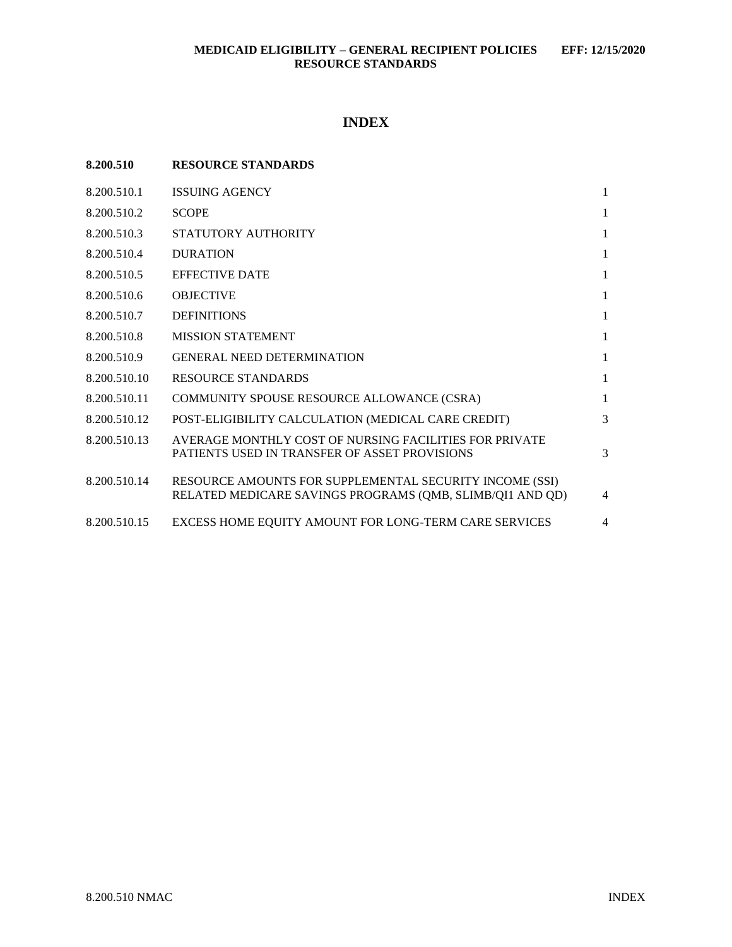# **INDEX**

| 8.200.510    | <b>RESOURCE STANDARDS</b>                                                                                            |                |
|--------------|----------------------------------------------------------------------------------------------------------------------|----------------|
| 8.200.510.1  | <b>ISSUING AGENCY</b>                                                                                                | $\mathbf{1}$   |
| 8.200.510.2  | <b>SCOPE</b>                                                                                                         | $\mathbf{1}$   |
| 8.200.510.3  | STATUTORY AUTHORITY                                                                                                  | $\mathbf{1}$   |
| 8.200.510.4  | <b>DURATION</b>                                                                                                      | $\mathbf{1}$   |
| 8.200.510.5  | <b>EFFECTIVE DATE</b>                                                                                                | $\mathbf{1}$   |
| 8.200.510.6  | <b>OBJECTIVE</b>                                                                                                     | $\mathbf{1}$   |
| 8.200.510.7  | <b>DEFINITIONS</b>                                                                                                   | $\mathbf{1}$   |
| 8.200.510.8  | <b>MISSION STATEMENT</b>                                                                                             | $\mathbf{1}$   |
| 8.200.510.9  | <b>GENERAL NEED DETERMINATION</b>                                                                                    | $\mathbf{1}$   |
| 8.200.510.10 | <b>RESOURCE STANDARDS</b>                                                                                            | $\mathbf{1}$   |
| 8.200.510.11 | COMMUNITY SPOUSE RESOURCE ALLOWANCE (CSRA)                                                                           | $\mathbf{1}$   |
| 8.200.510.12 | POST-ELIGIBILITY CALCULATION (MEDICAL CARE CREDIT)                                                                   | 3              |
| 8.200.510.13 | AVERAGE MONTHLY COST OF NURSING FACILITIES FOR PRIVATE<br>PATIENTS USED IN TRANSFER OF ASSET PROVISIONS              | 3              |
| 8.200.510.14 | RESOURCE AMOUNTS FOR SUPPLEMENTAL SECURITY INCOME (SSI)<br>RELATED MEDICARE SAVINGS PROGRAMS (QMB, SLIMB/QI1 AND QD) | $\overline{4}$ |
| 8.200.510.15 | EXCESS HOME EQUITY AMOUNT FOR LONG-TERM CARE SERVICES                                                                | $\overline{4}$ |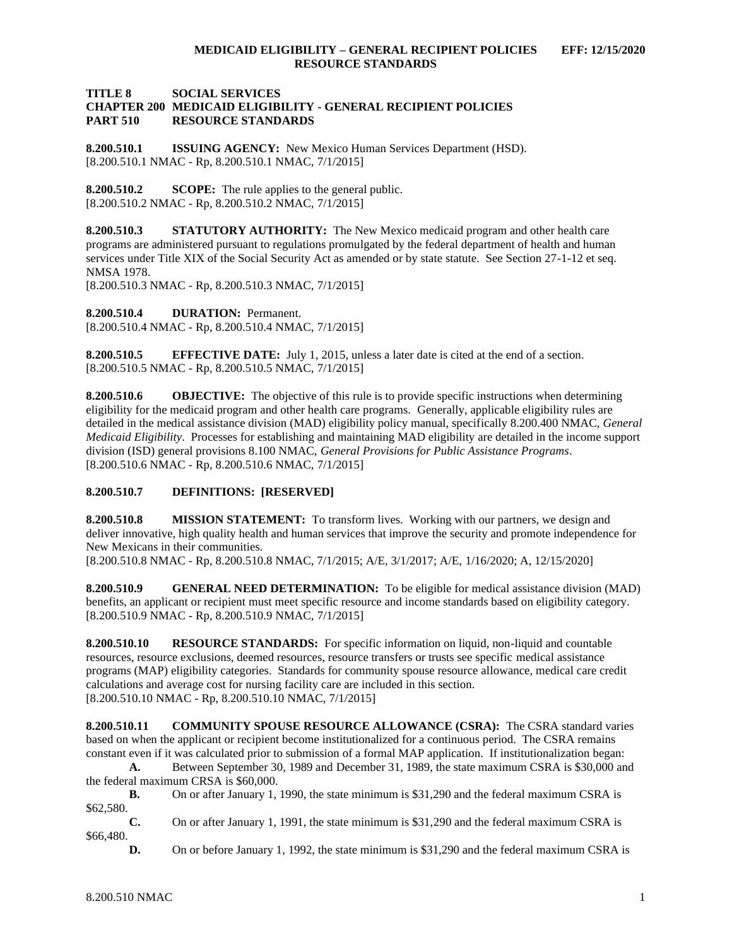#### **TITLE 8 SOCIAL SERVICES CHAPTER 200 MEDICAID ELIGIBILITY - GENERAL RECIPIENT POLICIES PART 510 RESOURCE STANDARDS**

<span id="page-1-0"></span>**8.200.510.1 ISSUING AGENCY:** New Mexico Human Services Department (HSD). [8.200.510.1 NMAC - Rp, 8.200.510.1 NMAC, 7/1/2015]

<span id="page-1-1"></span>**8.200.510.2 SCOPE:** The rule applies to the general public. [8.200.510.2 NMAC - Rp, 8.200.510.2 NMAC, 7/1/2015]

<span id="page-1-2"></span>**8.200.510.3 STATUTORY AUTHORITY:** The New Mexico medicaid program and other health care programs are administered pursuant to regulations promulgated by the federal department of health and human services under Title XIX of the Social Security Act as amended or by state statute. See Section 27-1-12 et seq. NMSA 1978.

[8.200.510.3 NMAC - Rp, 8.200.510.3 NMAC, 7/1/2015]

<span id="page-1-3"></span>**8.200.510.4 DURATION:** Permanent. [8.200.510.4 NMAC - Rp, 8.200.510.4 NMAC, 7/1/2015]

<span id="page-1-4"></span>**8.200.510.5 EFFECTIVE DATE:** July 1, 2015, unless a later date is cited at the end of a section. [8.200.510.5 NMAC - Rp, 8.200.510.5 NMAC, 7/1/2015]

<span id="page-1-5"></span>**8.200.510.6 OBJECTIVE:** The objective of this rule is to provide specific instructions when determining eligibility for the medicaid program and other health care programs. Generally, applicable eligibility rules are detailed in the medical assistance division (MAD) eligibility policy manual, specifically 8.200.400 NMAC, *General Medicaid Eligibility*. Processes for establishing and maintaining MAD eligibility are detailed in the income support division (ISD) general provisions 8.100 NMAC, *General Provisions for Public Assistance Programs*. [8.200.510.6 NMAC - Rp, 8.200.510.6 NMAC, 7/1/2015]

# <span id="page-1-6"></span>**8.200.510.7 DEFINITIONS: [RESERVED]**

<span id="page-1-7"></span>**8.200.510.8 MISSION STATEMENT:** To transform lives. Working with our partners, we design and deliver innovative, high quality health and human services that improve the security and promote independence for New Mexicans in their communities.

[8.200.510.8 NMAC - Rp, 8.200.510.8 NMAC, 7/1/2015; A/E, 3/1/2017; A/E, 1/16/2020; A, 12/15/2020]

<span id="page-1-8"></span>**8.200.510.9 GENERAL NEED DETERMINATION:** To be eligible for medical assistance division (MAD) benefits, an applicant or recipient must meet specific resource and income standards based on eligibility category. [8.200.510.9 NMAC - Rp, 8.200.510.9 NMAC, 7/1/2015]

<span id="page-1-9"></span>**8.200.510.10 RESOURCE STANDARDS:** For specific information on liquid, non-liquid and countable resources, resource exclusions, deemed resources, resource transfers or trusts see specific medical assistance programs (MAP) eligibility categories. Standards for community spouse resource allowance, medical care credit calculations and average cost for nursing facility care are included in this section. [8.200.510.10 NMAC - Rp, 8.200.510.10 NMAC, 7/1/2015]

<span id="page-1-10"></span>**8.200.510.11 COMMUNITY SPOUSE RESOURCE ALLOWANCE (CSRA):** The CSRA standard varies based on when the applicant or recipient become institutionalized for a continuous period. The CSRA remains constant even if it was calculated prior to submission of a formal MAP application. If institutionalization began:

**A.** Between September 30, 1989 and December 31, 1989, the state maximum CSRA is \$30,000 and the federal maximum CRSA is \$60,000.

**B.** On or after January 1, 1990, the state minimum is \$31,290 and the federal maximum CSRA is \$62,580.

**C.** On or after January 1, 1991, the state minimum is \$31,290 and the federal maximum CSRA is \$66,480.

**D.** On or before January 1, 1992, the state minimum is \$31,290 and the federal maximum CSRA is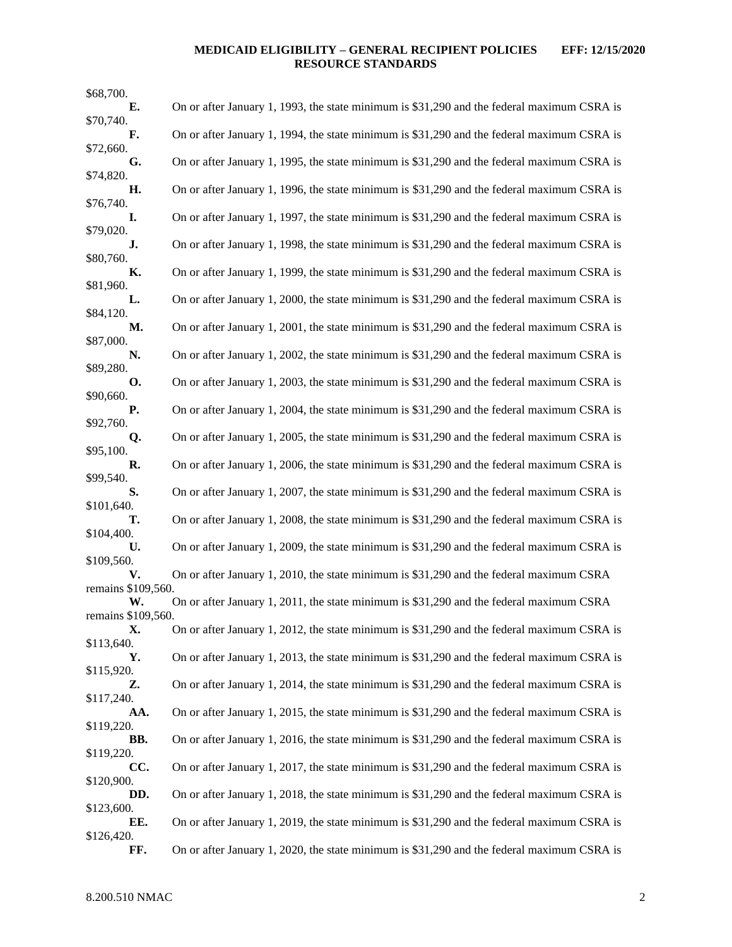# **MEDICAID ELIGIBILITY – GENERAL RECIPIENT POLICIES EFF: 12/15/2020 RESOURCE STANDARDS**

| \$68,700.                |                                                                                            |
|--------------------------|--------------------------------------------------------------------------------------------|
| Е.                       | On or after January 1, 1993, the state minimum is \$31,290 and the federal maximum CSRA is |
| \$70,740.<br>F.          | On or after January 1, 1994, the state minimum is \$31,290 and the federal maximum CSRA is |
| \$72,660.<br>G.          | On or after January 1, 1995, the state minimum is \$31,290 and the federal maximum CSRA is |
| \$74,820.                |                                                                                            |
| Η.<br>\$76,740.          | On or after January 1, 1996, the state minimum is \$31,290 and the federal maximum CSRA is |
| I.<br>\$79,020.          | On or after January 1, 1997, the state minimum is \$31,290 and the federal maximum CSRA is |
| J.                       | On or after January 1, 1998, the state minimum is \$31,290 and the federal maximum CSRA is |
| \$80,760.<br>К.          | On or after January 1, 1999, the state minimum is \$31,290 and the federal maximum CSRA is |
| \$81,960.<br>L.          | On or after January 1, 2000, the state minimum is \$31,290 and the federal maximum CSRA is |
| \$84,120.<br>М.          | On or after January 1, 2001, the state minimum is \$31,290 and the federal maximum CSRA is |
| \$87,000.                |                                                                                            |
| N.<br>\$89,280.          | On or after January 1, 2002, the state minimum is \$31,290 and the federal maximum CSRA is |
| <b>O.</b><br>\$90,660.   | On or after January 1, 2003, the state minimum is \$31,290 and the federal maximum CSRA is |
| Р.                       | On or after January 1, 2004, the state minimum is \$31,290 and the federal maximum CSRA is |
| \$92,760.<br>Q.          | On or after January 1, 2005, the state minimum is \$31,290 and the federal maximum CSRA is |
| \$95,100.<br>R.          | On or after January 1, 2006, the state minimum is \$31,290 and the federal maximum CSRA is |
| \$99,540.                |                                                                                            |
| S.<br>\$101,640.         | On or after January 1, 2007, the state minimum is \$31,290 and the federal maximum CSRA is |
| т.<br>\$104,400.         | On or after January 1, 2008, the state minimum is \$31,290 and the federal maximum CSRA is |
| U.                       | On or after January 1, 2009, the state minimum is \$31,290 and the federal maximum CSRA is |
| \$109,560.<br>V.         | On or after January 1, 2010, the state minimum is \$31,290 and the federal maximum CSRA    |
| remains \$109,560.<br>W. | On or after January 1, 2011, the state minimum is \$31,290 and the federal maximum CSRA    |
| remains \$109,560.       |                                                                                            |
| X.<br>\$113,640.         | On or after January 1, 2012, the state minimum is \$31,290 and the federal maximum CSRA is |
| Υ.<br>\$115,920.         | On or after January 1, 2013, the state minimum is \$31,290 and the federal maximum CSRA is |
| Z.<br>\$117,240.         | On or after January 1, 2014, the state minimum is \$31,290 and the federal maximum CSRA is |
| AA.                      | On or after January 1, 2015, the state minimum is \$31,290 and the federal maximum CSRA is |
| \$119,220.<br>BB.        | On or after January 1, 2016, the state minimum is \$31,290 and the federal maximum CSRA is |
| \$119,220.<br>CC.        | On or after January 1, 2017, the state minimum is \$31,290 and the federal maximum CSRA is |
| \$120,900.               |                                                                                            |
| DD.<br>\$123,600.        | On or after January 1, 2018, the state minimum is \$31,290 and the federal maximum CSRA is |
| EE.<br>\$126,420.        | On or after January 1, 2019, the state minimum is \$31,290 and the federal maximum CSRA is |
| FF.                      | On or after January 1, 2020, the state minimum is \$31,290 and the federal maximum CSRA is |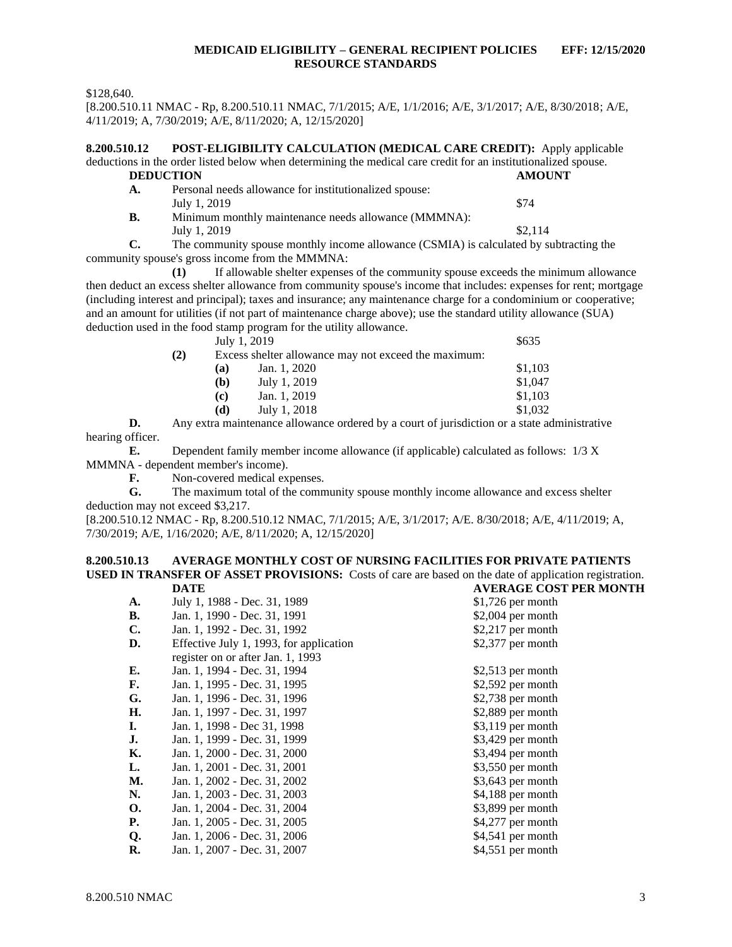### **MEDICAID ELIGIBILITY – GENERAL RECIPIENT POLICIES EFF: 12/15/2020 RESOURCE STANDARDS**

\$128,640.

[8.200.510.11 NMAC - Rp, 8.200.510.11 NMAC, 7/1/2015; A/E, 1/1/2016; A/E, 3/1/2017; A/E, 8/30/2018; A/E, 4/11/2019; A, 7/30/2019; A/E, 8/11/2020; A, 12/15/2020]

<span id="page-3-0"></span>**8.200.510.12 POST-ELIGIBILITY CALCULATION (MEDICAL CARE CREDIT):** Apply applicable deductions in the order listed below when determining the medical care credit for an institutionalized spouse. **DEDUCTION AMOUNT A.** Personal needs allowance for institutionalized spouse: July 1, 2019  $\frac{$74}{ }$ **B.** Minimum monthly maintenance needs allowance (MMMNA): July 1, 2019  $\frac{$2,114}{ }$ 

**C.** The community spouse monthly income allowance (CSMIA) is calculated by subtracting the community spouse's gross income from the MMMNA:

**(1)** If allowable shelter expenses of the community spouse exceeds the minimum allowance then deduct an excess shelter allowance from community spouse's income that includes: expenses for rent; mortgage (including interest and principal); taxes and insurance; any maintenance charge for a condominium or cooperative; and an amount for utilities (if not part of maintenance charge above); use the standard utility allowance (SUA) deduction used in the food stamp program for the utility allowance.

|     |     | July 1, 2019                                         | \$635   |
|-----|-----|------------------------------------------------------|---------|
| (2) |     | Excess shelter allowance may not exceed the maximum: |         |
|     | (a) | Jan. 1, 2020                                         | \$1,103 |
|     | (b) | July 1, 2019                                         | \$1,047 |
|     | (c) | Jan. 1, 2019                                         | \$1,103 |
|     | (d) | July 1, 2018                                         | \$1,032 |
|     |     |                                                      |         |

**D.** Any extra maintenance allowance ordered by a court of jurisdiction or a state administrative hearing officer.

**E.** Dependent family member income allowance (if applicable) calculated as follows: 1/3 X MMMNA - dependent member's income).

**F.** Non-covered medical expenses.

**G.** The maximum total of the community spouse monthly income allowance and excess shelter deduction may not exceed \$3,217.

[8.200.510.12 NMAC - Rp, 8.200.510.12 NMAC, 7/1/2015; A/E, 3/1/2017; A/E. 8/30/2018; A/E, 4/11/2019; A, 7/30/2019; A/E, 1/16/2020; A/E, 8/11/2020; A, 12/15/2020]

#### <span id="page-3-1"></span>**8.200.510.13 AVERAGE MONTHLY COST OF NURSING FACILITIES FOR PRIVATE PATIENTS USED IN TRANSFER OF ASSET PROVISIONS:** Costs of care are based on the date of application registration. **DATE AVERAGE COST PER MONTH**

|           | <i></i>                                 | A LINAUL COST LEIVIUI |
|-----------|-----------------------------------------|-----------------------|
| <b>A.</b> | July 1, 1988 - Dec. 31, 1989            | $$1,726$ per month    |
| В.        | Jan. 1, 1990 - Dec. 31, 1991            | $$2,004$ per month    |
| C.        | Jan. 1, 1992 - Dec. 31, 1992            | $$2,217$ per month    |
| D.        | Effective July 1, 1993, for application | \$2,377 per month     |
|           | register on or after Jan. 1, 1993       |                       |
| Е.        | Jan. 1, 1994 - Dec. 31, 1994            | $$2,513$ per month    |
| F.        | Jan. 1, 1995 - Dec. 31, 1995            | $$2,592$ per month    |
| G.        | Jan. 1, 1996 - Dec. 31, 1996            | \$2,738 per month     |
| Н.        | Jan. 1, 1997 - Dec. 31, 1997            | $$2,889$ per month    |
| L.        | Jan. 1, 1998 - Dec 31, 1998             | $$3,119$ per month    |
| J.        | Jan. 1, 1999 - Dec. 31, 1999            | \$3,429 per month     |
| К.        | Jan. 1, 2000 - Dec. 31, 2000            | $$3,494$ per month    |
| L.        | Jan. 1, 2001 - Dec. 31, 2001            | $$3,550$ per month    |
| М.        | Jan. 1, 2002 - Dec. 31, 2002            | \$3,643 per month     |
| N.        | Jan. 1, 2003 - Dec. 31, 2003            | \$4,188 per month     |
| <b>O.</b> | Jan. 1, 2004 - Dec. 31, 2004            | $$3,899$ per month    |
| Р.        | Jan. 1, 2005 - Dec. 31, 2005            | \$4,277 per month     |
| Q.        | Jan. 1, 2006 - Dec. 31, 2006            | \$4,541 per month     |
| R.        | Jan. 1, 2007 - Dec. 31, 2007            | \$4,551 per month     |